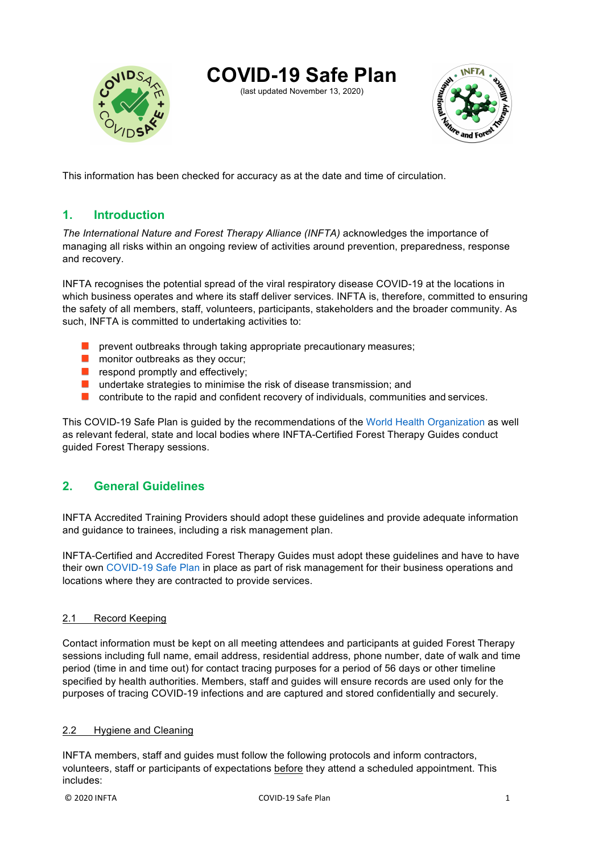

# **COVID-19 Safe Plan**

(last updated November 13, 2020)



This information has been checked for accuracy as at the date and time of circulation.

# **1. Introduction**

*The International Nature and Forest Therapy Alliance (INFTA)* acknowledges the importance of managing all risks within an ongoing review of activities around prevention, preparedness, response and recovery.

INFTA recognises the potential spread of the viral respiratory disease COVID-19 at the locations in which business operates and where its staff deliver services. INFTA is, therefore, committed to ensuring the safety of all members, staff, volunteers, participants, stakeholders and the broader community. As such, INFTA is committed to undertaking activities to:

- **P** prevent outbreaks through taking appropriate precautionary measures;
- **n** monitor outbreaks as they occur;
- $\blacksquare$  respond promptly and effectively:
- undertake strategies to minimise the risk of disease transmission; and
- **O** contribute to the rapid and confident recovery of individuals, communities and services.

This COVID-19 Safe Plan is guided by the recommendations of the World Health Organization as well as relevant federal, state and local bodies where INFTA-Certified Forest Therapy Guides conduct guided Forest Therapy sessions.

# **2. General Guidelines**

INFTA Accredited Training Providers should adopt these guidelines and provide adequate information and guidance to trainees, including a risk management plan.

INFTA-Certified and Accredited Forest Therapy Guides must adopt these guidelines and have to have their own COVID-19 Safe Plan in place as part of risk management for their business operations and locations where they are contracted to provide services.

### 2.1 Record Keeping

Contact information must be kept on all meeting attendees and participants at guided Forest Therapy sessions including full name, email address, residential address, phone number, date of walk and time period (time in and time out) for contact tracing purposes for a period of 56 days or other timeline specified by health authorities. Members, staff and guides will ensure records are used only for the purposes of tracing COVID-19 infections and are captured and stored confidentially and securely.

### 2.2 Hygiene and Cleaning

INFTA members, staff and guides must follow the following protocols and inform contractors, volunteers, staff or participants of expectations before they attend a scheduled appointment. This includes: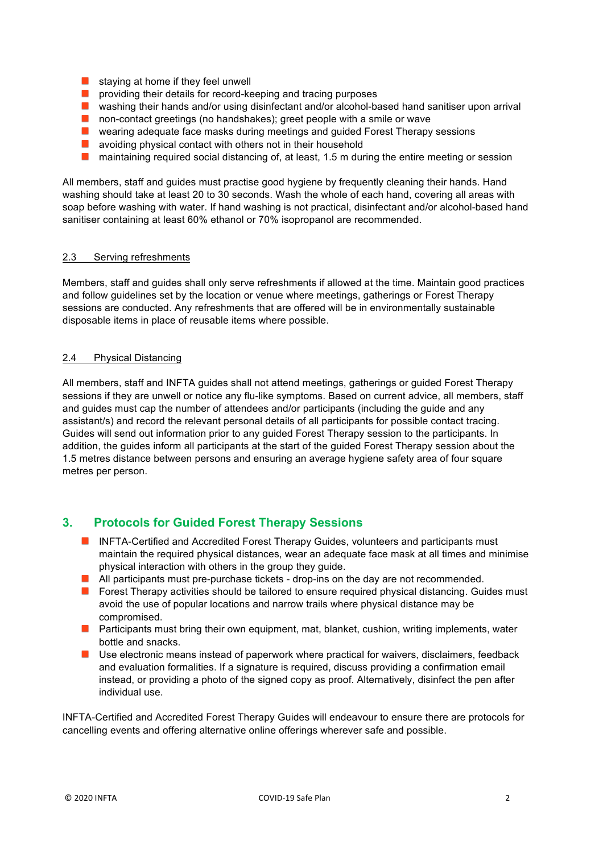- $\blacksquare$  staying at home if they feel unwell
- **P** providing their details for record-keeping and tracing purposes
- **N** washing their hands and/or using disinfectant and/or alcohol-based hand sanitiser upon arrival
- non-contact greetings (no handshakes); greet people with a smile or wave
- **E** wearing adequate face masks during meetings and quided Forest Therapy sessions
- **Contract Contract** avoiding physical contact with others not in their household
- maintaining required social distancing of, at least, 1.5 m during the entire meeting or session  $\mathcal{L}_{\mathcal{A}}$

All members, staff and guides must practise good hygiene by frequently cleaning their hands. Hand washing should take at least 20 to 30 seconds. Wash the whole of each hand, covering all areas with soap before washing with water. If hand washing is not practical, disinfectant and/or alcohol-based hand sanitiser containing at least 60% ethanol or 70% isopropanol are recommended.

#### 2.3 Serving refreshments

Members, staff and guides shall only serve refreshments if allowed at the time. Maintain good practices and follow guidelines set by the location or venue where meetings, gatherings or Forest Therapy sessions are conducted. Any refreshments that are offered will be in environmentally sustainable disposable items in place of reusable items where possible.

#### 2.4 Physical Distancing

All members, staff and INFTA guides shall not attend meetings, gatherings or guided Forest Therapy sessions if they are unwell or notice any flu-like symptoms. Based on current advice, all members, staff and guides must cap the number of attendees and/or participants (including the guide and any assistant/s) and record the relevant personal details of all participants for possible contact tracing. Guides will send out information prior to any guided Forest Therapy session to the participants. In addition, the guides inform all participants at the start of the guided Forest Therapy session about the 1.5 metres distance between persons and ensuring an average hygiene safety area of four square metres per person.

# **3. Protocols for Guided Forest Therapy Sessions**

- **INFTA-Certified and Accredited Forest Therapy Guides, volunteers and participants must** maintain the required physical distances, wear an adequate face mask at all times and minimise physical interaction with others in the group they guide.
- **All participants must pre-purchase tickets drop-ins on the day are not recommended.**
- **Forest Therapy activities should be tailored to ensure required physical distancing. Guides must** avoid the use of popular locations and narrow trails where physical distance may be compromised.
- **Participants must bring their own equipment, mat, blanket, cushion, writing implements, water** bottle and snacks.
- Use electronic means instead of paperwork where practical for waivers, disclaimers, feedback and evaluation formalities. If a signature is required, discuss providing a confirmation email instead, or providing a photo of the signed copy as proof. Alternatively, disinfect the pen after individual use.

INFTA-Certified and Accredited Forest Therapy Guides will endeavour to ensure there are protocols for cancelling events and offering alternative online offerings wherever safe and possible.